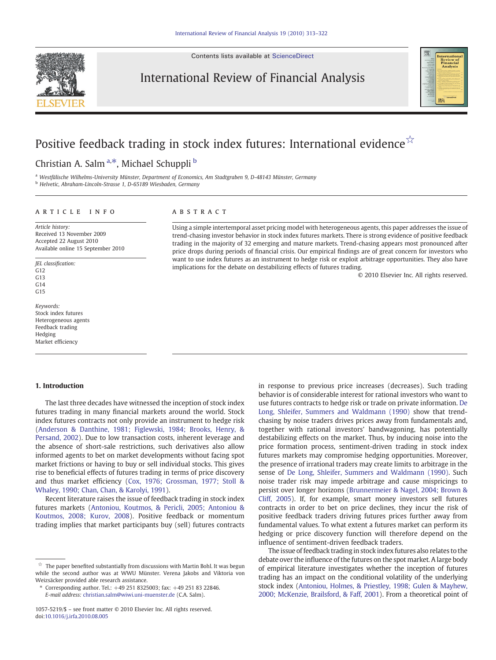Contents lists available at [ScienceDirect](http://www.sciencedirect.com/science/journal/10575219)



International Review of Financial Analysis



# Positive feedback trading in stock index futures: International evidence☆

Christian A. Salm<sup>a,\*</sup>, Michael Schuppli <sup>b</sup>

<sup>a</sup> Westfälische Wilhelms-University Münster, Department of Economics, Am Stadtgraben 9, D-48143 Münster, Germany

<sup>b</sup> Helvetic, Abraham-Lincoln-Strasse 1, D-65189 Wiesbaden, Germany

### article info abstract

Article history: Received 13 November 2009 Accepted 22 August 2010 Available online 15 September 2010

JEL classification: G12 G13  $C<sub>14</sub>$  $C<sub>15</sub>$ 

Keywords: Stock index futures Heterogeneous agents Feedback trading Hedging Market efficiency

Using a simple intertemporal asset pricing model with heterogeneous agents, this paper addresses the issue of trend-chasing investor behavior in stock index futures markets. There is strong evidence of positive feedback trading in the majority of 32 emerging and mature markets. Trend-chasing appears most pronounced after price drops during periods of financial crisis. Our empirical findings are of great concern for investors who want to use index futures as an instrument to hedge risk or exploit arbitrage opportunities. They also have implications for the debate on destabilizing effects of futures trading.

© 2010 Elsevier Inc. All rights reserved.

#### 1. Introduction

The last three decades have witnessed the inception of stock index futures trading in many financial markets around the world. Stock index futures contracts not only provide an instrument to hedge risk [\(Anderson & Danthine, 1981; Figlewski, 1984; Brooks, Henry, &](#page--1-0) [Persand, 2002](#page--1-0)). Due to low transaction costs, inherent leverage and the absence of short-sale restrictions, such derivatives also allow informed agents to bet on market developments without facing spot market frictions or having to buy or sell individual stocks. This gives rise to beneficial effects of futures trading in terms of price discovery and thus market efficiency [\(Cox, 1976; Grossman, 1977; Stoll &](#page--1-0) [Whaley, 1990; Chan, Chan, & Karolyi, 1991](#page--1-0)).

Recent literature raises the issue of feedback trading in stock index futures markets [\(Antoniou, Koutmos, & Pericli, 2005; Antoniou &](#page--1-0) [Koutmos, 2008; Kurov, 2008\)](#page--1-0). Positive feedback or momentum trading implies that market participants buy (sell) futures contracts

in response to previous price increases (decreases). Such trading behavior is of considerable interest for rational investors who want to use futures contracts to hedge risk or trade on private information. [De](#page--1-0) [Long, Shleifer, Summers and Waldmann \(1990\)](#page--1-0) show that trendchasing by noise traders drives prices away from fundamentals and, together with rational investors' bandwagoning, has potentially destabilizing effects on the market. Thus, by inducing noise into the price formation process, sentiment-driven trading in stock index futures markets may compromise hedging opportunities. Moreover, the presence of irrational traders may create limits to arbitrage in the sense of [De Long, Shleifer, Summers and Waldmann \(1990\).](#page--1-0) Such noise trader risk may impede arbitrage and cause mispricings to persist over longer horizons ([Brunnermeier & Nagel, 2004; Brown &](#page--1-0) [Cliff, 2005\)](#page--1-0). If, for example, smart money investors sell futures contracts in order to bet on price declines, they incur the risk of positive feedback traders driving futures prices further away from fundamental values. To what extent a futures market can perform its hedging or price discovery function will therefore depend on the influence of sentiment-driven feedback traders.

The issue of feedback trading in stock index futures also relates to the debate over the influence of the futures on the spot market. A large body of empirical literature investigates whether the inception of futures trading has an impact on the conditional volatility of the underlying stock index ([Antoniou, Holmes, & Priestley, 1998; Gulen & Mayhew,](#page--1-0) [2000; McKenzie, Brailsford, & Faff, 2001\)](#page--1-0). From a theoretical point of

 $\overrightarrow{x}$  The paper benefited substantially from discussions with Martin Bohl. It was begun while the second author was at WWU Münster. Verena Jakobs and Viktoria von Weizsäcker provided able research assistance.

<sup>⁎</sup> Corresponding author. Tel.: +49 251 8325003; fax: +49 251 83 22846. E-mail address: [christian.salm@wiwi.uni-muenster.de](mailto:christian.salm@wiwi.uni-muenster.de) (C.A. Salm).

<sup>1057-5219/\$</sup> – see front matter © 2010 Elsevier Inc. All rights reserved. doi:[10.1016/j.irfa.2010.08.005](http://dx.doi.org/10.1016/j.irfa.2010.08.005)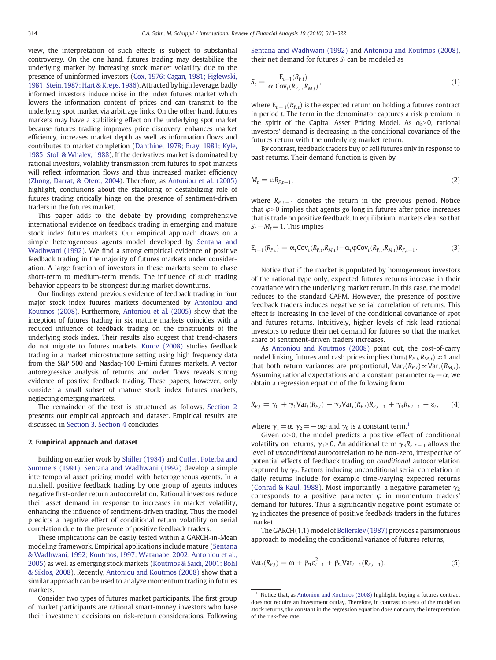view, the interpretation of such effects is subject to substantial controversy. On the one hand, futures trading may destabilize the underlying market by increasing stock market volatility due to the presence of uninformed investors [\(Cox, 1976; Cagan, 1981; Figlewski,](#page--1-0) [1981; Stein, 1987; Hart & Kreps, 1986\)](#page--1-0). Attracted by high leverage, badly informed investors induce noise in the index futures market which lowers the information content of prices and can transmit to the underlying spot market via arbitrage links. On the other hand, futures markets may have a stabilizing effect on the underlying spot market because futures trading improves price discovery, enhances market efficiency, increases market depth as well as information flows and contributes to market completion [\(Danthine, 1978; Bray, 1981; Kyle,](#page--1-0) [1985; Stoll & Whaley, 1988\)](#page--1-0). If the derivatives market is dominated by rational investors, volatility transmission from futures to spot markets will reflect information flows and thus increased market efficiency [\(Zhong, Darrat, & Otero, 2004\)](#page--1-0). Therefore, as [Antoniou et al. \(2005\)](#page--1-0) highlight, conclusions about the stabilizing or destabilizing role of futures trading critically hinge on the presence of sentiment-driven traders in the futures market.

This paper adds to the debate by providing comprehensive international evidence on feedback trading in emerging and mature stock index futures markets. Our empirical approach draws on a simple heterogeneous agents model developed by [Sentana and](#page--1-0) [Wadhwani \(1992\).](#page--1-0) We find a strong empirical evidence of positive feedback trading in the majority of futures markets under consideration. A large fraction of investors in these markets seem to chase short-term to medium-term trends. The influence of such trading behavior appears to be strongest during market downturns.

Our findings extend previous evidence of feedback trading in four major stock index futures markets documented by [Antoniou and](#page--1-0) [Koutmos \(2008\)](#page--1-0). Furthermore, [Antoniou et al. \(2005\)](#page--1-0) show that the inception of futures trading in six mature markets coincides with a reduced influence of feedback trading on the constituents of the underlying stock index. Their results also suggest that trend-chasers do not migrate to futures markets. [Kurov \(2008\)](#page--1-0) studies feedback trading in a market microstructure setting using high frequency data from the S&P 500 and Nasdaq-100 E-mini futures markets. A vector autoregressive analysis of returns and order flows reveals strong evidence of positive feedback trading. These papers, however, only consider a small subset of mature stock index futures markets, neglecting emerging markets.

The remainder of the text is structured as follows. Section 2 presents our empirical approach and dataset. Empirical results are discussed in [Section 3.](#page--1-0) [Section 4](#page--1-0) concludes.

#### 2. Empirical approach and dataset

Building on earlier work by [Shiller \(1984\)](#page--1-0) and [Cutler, Poterba and](#page--1-0) [Summers \(1991\), Sentana and Wadhwani \(1992\)](#page--1-0) develop a simple intertemporal asset pricing model with heterogeneous agents. In a nutshell, positive feedback trading by one group of agents induces negative first-order return autocorrelation. Rational investors reduce their asset demand in response to increases in market volatility, enhancing the influence of sentiment-driven trading. Thus the model predicts a negative effect of conditional return volatility on serial correlation due to the presence of positive feedback traders.

These implications can be easily tested within a GARCH-in-Mean modeling framework. Empirical applications include mature ([Sentana](#page--1-0) [& Wadhwani, 1992; Koutmos, 1997; Watanabe, 2002; Antoniou et al.,](#page--1-0) [2005\)](#page--1-0) as well as emerging stock markets ([Koutmos & Saidi, 2001; Bohl](#page--1-0) [& Siklos, 2008\)](#page--1-0). Recently, [Antoniou and Koutmos \(2008\)](#page--1-0) show that a similar approach can be used to analyze momentum trading in futures markets.

Consider two types of futures market participants. The first group of market participants are rational smart-money investors who base their investment decisions on risk-return considerations. Following [Sentana and Wadhwani \(1992\)](#page--1-0) and [Antoniou and Koutmos \(2008\),](#page--1-0) their net demand for futures  $S_t$  can be modeled as

$$
S_t = \frac{E_{t-1}(R_{F,t})}{\alpha_t \text{Cov}_t(R_{F,t}, R_{M,t})},\tag{1}
$$

where  $E_{t-1}(R_{F,t})$  is the expected return on holding a futures contract in period t. The term in the denominator captures a risk premium in the spirit of the Capital Asset Pricing Model. As  $\alpha_t > 0$ , rational investors' demand is decreasing in the conditional covariance of the futures return with the underlying market return.

By contrast, feedback traders buy or sell futures only in response to past returns. Their demand function is given by

$$
M_t = \varphi R_{F,t-1},\tag{2}
$$

where  $R_{F,t-1}$  denotes the return in the previous period. Notice that  $\varphi$  > 0 implies that agents go long in futures after price increases that is trade on positive feedback. In equilibrium, markets clear so that  $S_t + M_t = 1$ . This implies

$$
E_{t-1}(R_{F,t}) = \alpha_t \text{Cov}_t(R_{F,t}, R_{M,t}) - \alpha_t \varphi \text{Cov}_t(R_{F,t}, R_{M,t}) R_{F,t-1}.
$$
 (3)

Notice that if the market is populated by homogeneous investors of the rational type only, expected futures returns increase in their covariance with the underlying market return. In this case, the model reduces to the standard CAPM. However, the presence of positive feedback traders induces negative serial correlation of returns. This effect is increasing in the level of the conditional covariance of spot and futures returns. Intuitively, higher levels of risk lead rational investors to reduce their net demand for futures so that the market share of sentiment-driven traders increases.

As [Antoniou and Koutmos \(2008\)](#page--1-0) point out, the cost-of-carry model linking futures and cash prices implies  $Corr_t(R_{F,t},R_{M,t}) \approx 1$  and that both return variances are proportional,  $Var_t(R_{F,t}) \propto Var_t(R_{M,t})$ . Assuming rational expectations and a constant parameter  $\alpha_t = \alpha$ , we obtain a regression equation of the following form

$$
R_{F,t} = \gamma_0 + \gamma_1 Var_t(R_{F,t}) + \gamma_2 Var_t(R_{F,t})R_{F,t-1} + \gamma_3 R_{F,t-1} + \varepsilon_t, \qquad (4)
$$

where  $\gamma_1=\alpha$ ,  $\gamma_2=-\alpha\varphi$  and  $\gamma_0$  is a constant term.<sup>1</sup>

Given  $\alpha$ >0, the model predicts a positive effect of conditional volatility on returns,  $\gamma_1 > 0$ . An additional term  $\gamma_3 R_{F, t-1}$  allows the level of unconditional autocorrelation to be non-zero, irrespective of potential effects of feedback trading on conditional autocorrelation captured by  $\gamma_2$ . Factors inducing unconditional serial correlation in daily returns include for example time-varying expected returns [\(Conrad & Kaul, 1988\)](#page--1-0). Most importantly, a negative parameter  $\gamma_2$ corresponds to a positive parameter  $\varphi$  in momentum traders' demand for futures. Thus a significantly negative point estimate of  $\gamma_2$  indicates the presence of positive feedback traders in the futures market.

The GARCH(1,1) model of [Bollerslev \(1987\)](#page--1-0) provides a parsimonious approach to modeling the conditional variance of futures returns,

$$
Var_{t}(R_{F,t}) = \omega + \beta_{1} \varepsilon_{t-1}^{2} + \beta_{2} Var_{t-1}(R_{F,t-1}),
$$
\n(5)

 $1$  Notice that, as [Antoniou and Koutmos \(2008\)](#page--1-0) highlight, buying a futures contract does not require an investment outlay. Therefore, in contrast to tests of the model on stock returns, the constant in the regression equation does not carry the interpretation of the risk-free rate.